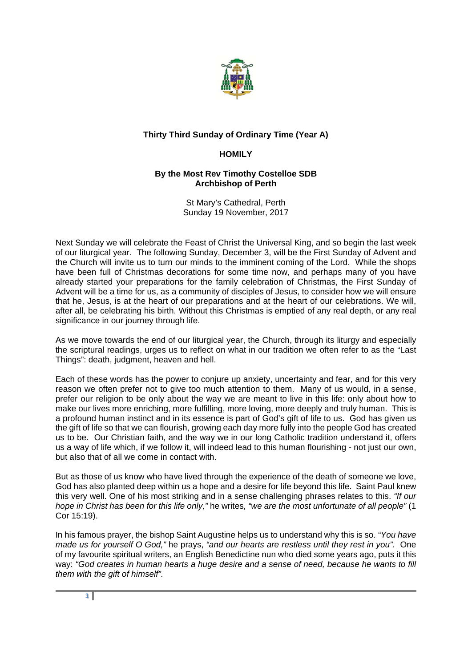

## **Thirty Third Sunday of Ordinary Time (Year A)**

## **HOMILY**

## **By the Most Rev Timothy Costelloe SDB Archbishop of Perth**

St Mary's Cathedral, Perth Sunday 19 November, 2017

Next Sunday we will celebrate the Feast of Christ the Universal King, and so begin the last week of our liturgical year. The following Sunday, December 3, will be the First Sunday of Advent and the Church will invite us to turn our minds to the imminent coming of the Lord. While the shops have been full of Christmas decorations for some time now, and perhaps many of you have already started your preparations for the family celebration of Christmas, the First Sunday of Advent will be a time for us, as a community of disciples of Jesus, to consider how we will ensure that he, Jesus, is at the heart of our preparations and at the heart of our celebrations. We will, after all, be celebrating his birth. Without this Christmas is emptied of any real depth, or any real significance in our journey through life.

As we move towards the end of our liturgical year, the Church, through its liturgy and especially the scriptural readings, urges us to reflect on what in our tradition we often refer to as the "Last Things": death, judgment, heaven and hell.

Each of these words has the power to conjure up anxiety, uncertainty and fear, and for this very reason we often prefer not to give too much attention to them. Many of us would, in a sense, prefer our religion to be only about the way we are meant to live in this life: only about how to make our lives more enriching, more fulfilling, more loving, more deeply and truly human. This is a profound human instinct and in its essence is part of God's gift of life to us. God has given us the gift of life so that we can flourish, growing each day more fully into the people God has created us to be. Our Christian faith, and the way we in our long Catholic tradition understand it, offers us a way of life which, if we follow it, will indeed lead to this human flourishing - not just our own, but also that of all we come in contact with.

But as those of us know who have lived through the experience of the death of someone we love, God has also planted deep within us a hope and a desire for life beyond this life. Saint Paul knew this very well. One of his most striking and in a sense challenging phrases relates to this. *"If our hope in Christ has been for this life only,"* he writes*, "we are the most unfortunate of all people"* (1 Cor 15:19).

In his famous prayer, the bishop Saint Augustine helps us to understand why this is so. *"You have made us for yourself O God,"* he prays, *"and our hearts are restless until they rest in you".* One of my favourite spiritual writers, an English Benedictine nun who died some years ago, puts it this way: *"God creates in human hearts a huge desire and a sense of need, because he wants to fill them with the gift of himself".*